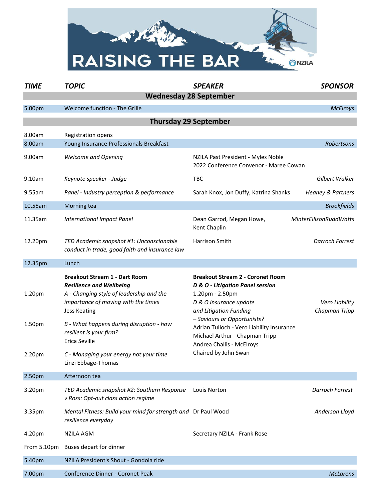

| <b>TIME</b>                  | <b>TOPIC</b>                                                                                                                                                                                                                                                                                                                               | <b>SPEAKER</b>                                                                                                                                                                                                                                                                                                        | <b>SPONSOR</b>                  |  |  |
|------------------------------|--------------------------------------------------------------------------------------------------------------------------------------------------------------------------------------------------------------------------------------------------------------------------------------------------------------------------------------------|-----------------------------------------------------------------------------------------------------------------------------------------------------------------------------------------------------------------------------------------------------------------------------------------------------------------------|---------------------------------|--|--|
|                              | <b>Wednesday 28 September</b>                                                                                                                                                                                                                                                                                                              |                                                                                                                                                                                                                                                                                                                       |                                 |  |  |
| 5.00pm                       | Welcome function - The Grille                                                                                                                                                                                                                                                                                                              |                                                                                                                                                                                                                                                                                                                       | <b>McElroys</b>                 |  |  |
| <b>Thursday 29 September</b> |                                                                                                                                                                                                                                                                                                                                            |                                                                                                                                                                                                                                                                                                                       |                                 |  |  |
| 8.00am<br>8.00am             | Registration opens<br>Young Insurance Professionals Breakfast                                                                                                                                                                                                                                                                              |                                                                                                                                                                                                                                                                                                                       | Robertsons                      |  |  |
| 9.00am                       | <b>Welcome and Opening</b>                                                                                                                                                                                                                                                                                                                 | NZILA Past President - Myles Noble<br>2022 Conference Convenor - Maree Cowan                                                                                                                                                                                                                                          |                                 |  |  |
| 9.10am                       | Keynote speaker - Judge                                                                                                                                                                                                                                                                                                                    | <b>TBC</b>                                                                                                                                                                                                                                                                                                            | Gilbert Walker                  |  |  |
| 9.55am                       | Panel - Industry perception & performance                                                                                                                                                                                                                                                                                                  | Sarah Knox, Jon Duffy, Katrina Shanks                                                                                                                                                                                                                                                                                 | <b>Heaney &amp; Partners</b>    |  |  |
| 10.55am                      | Morning tea                                                                                                                                                                                                                                                                                                                                |                                                                                                                                                                                                                                                                                                                       | <b>Brookfields</b>              |  |  |
| 11.35am                      | <b>International Impact Panel</b>                                                                                                                                                                                                                                                                                                          | Dean Garrod, Megan Howe,<br>Kent Chaplin                                                                                                                                                                                                                                                                              | <b>MinterEllisonRuddWatts</b>   |  |  |
| 12.20pm                      | TED Academic snapshot #1: Unconscionable<br>conduct in trade, good faith and insurance law                                                                                                                                                                                                                                                 | Harrison Smith                                                                                                                                                                                                                                                                                                        | <b>Darroch Forrest</b>          |  |  |
| 12.35pm                      | Lunch                                                                                                                                                                                                                                                                                                                                      |                                                                                                                                                                                                                                                                                                                       |                                 |  |  |
| 1.20pm<br>1.50pm<br>2.20pm   | <b>Breakout Stream 1 - Dart Room</b><br><b>Resilience and Wellbeing</b><br>A - Changing style of leadership and the<br>importance of moving with the times<br><b>Jess Keating</b><br>B - What happens during disruption - how<br>resilient is your firm?<br>Erica Seville<br>C - Managing your energy not your time<br>Linzi Ebbage-Thomas | <b>Breakout Stream 2 - Coronet Room</b><br>D & O - Litigation Panel session<br>1.20pm - 2.50pm<br>D & O Insurance update<br>and Litigation Funding<br>- Saviours or Opportunists?<br>Adrian Tulloch - Vero Liability Insurance<br>Michael Arthur - Chapman Tripp<br>Andrea Challis - McElroys<br>Chaired by John Swan | Vero Liability<br>Chapman Tripp |  |  |
| 2.50pm                       | Afternoon tea                                                                                                                                                                                                                                                                                                                              |                                                                                                                                                                                                                                                                                                                       |                                 |  |  |
| 3.20pm                       | TED Academic snapshot #2: Southern Response<br>v Ross: Opt-out class action regime                                                                                                                                                                                                                                                         | Louis Norton                                                                                                                                                                                                                                                                                                          | <b>Darroch Forrest</b>          |  |  |
| 3.35pm                       | Mental Fitness: Build your mind for strength and Dr Paul Wood<br>resilience everyday                                                                                                                                                                                                                                                       |                                                                                                                                                                                                                                                                                                                       | Anderson Lloyd                  |  |  |
| 4.20pm                       | <b>NZILA AGM</b>                                                                                                                                                                                                                                                                                                                           | Secretary NZILA - Frank Rose                                                                                                                                                                                                                                                                                          |                                 |  |  |
| From 5.10pm                  | Buses depart for dinner                                                                                                                                                                                                                                                                                                                    |                                                                                                                                                                                                                                                                                                                       |                                 |  |  |
| 5.40pm                       | NZILA President's Shout - Gondola ride                                                                                                                                                                                                                                                                                                     |                                                                                                                                                                                                                                                                                                                       |                                 |  |  |
| 7.00pm                       | Conference Dinner - Coronet Peak                                                                                                                                                                                                                                                                                                           |                                                                                                                                                                                                                                                                                                                       | <b>McLarens</b>                 |  |  |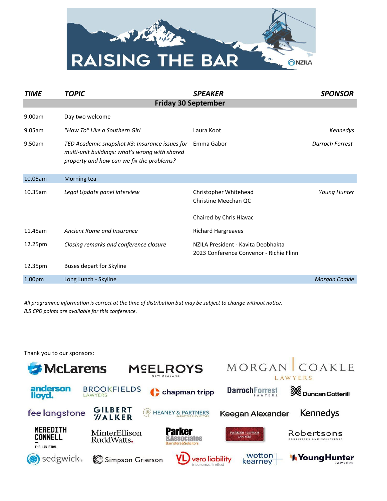

| <b>TIME</b>                | <b>TOPIC</b>                                                                                                                                  | <b>SPEAKER</b>                                                                | <b>SPONSOR</b>  |  |
|----------------------------|-----------------------------------------------------------------------------------------------------------------------------------------------|-------------------------------------------------------------------------------|-----------------|--|
| <b>Friday 30 September</b> |                                                                                                                                               |                                                                               |                 |  |
| 9.00am                     | Day two welcome                                                                                                                               |                                                                               |                 |  |
| 9.05am                     | "How To" Like a Southern Girl                                                                                                                 | Laura Koot                                                                    | Kennedys        |  |
| 9.50am                     | TED Academic snapshot #3: Insurance issues for<br>multi-unit buildings: what's wrong with shared<br>property and how can we fix the problems? | Emma Gabor                                                                    | Darroch Forrest |  |
| 10.05am                    | Morning tea                                                                                                                                   |                                                                               |                 |  |
| 10.35am                    | Legal Update panel interview                                                                                                                  | Christopher Whitehead<br>Christine Meechan QC                                 | Young Hunter    |  |
|                            |                                                                                                                                               | Chaired by Chris Hlavac                                                       |                 |  |
| 11.45am                    | Ancient Rome and Insurance                                                                                                                    | <b>Richard Hargreaves</b>                                                     |                 |  |
| 12.25pm                    | Closing remarks and conference closure                                                                                                        | NZILA President - Kavita Deobhakta<br>2023 Conference Convenor - Richie Flinn |                 |  |
| 12.35pm                    | <b>Buses depart for Skyline</b>                                                                                                               |                                                                               |                 |  |
| 1.00 <sub>pm</sub>         | Long Lunch - Skyline                                                                                                                          |                                                                               | Morgan Coakle   |  |

*All programme information is correct at the time of distribution but may be subject to change without notice. 8.5 CPD points are available for this conference.*